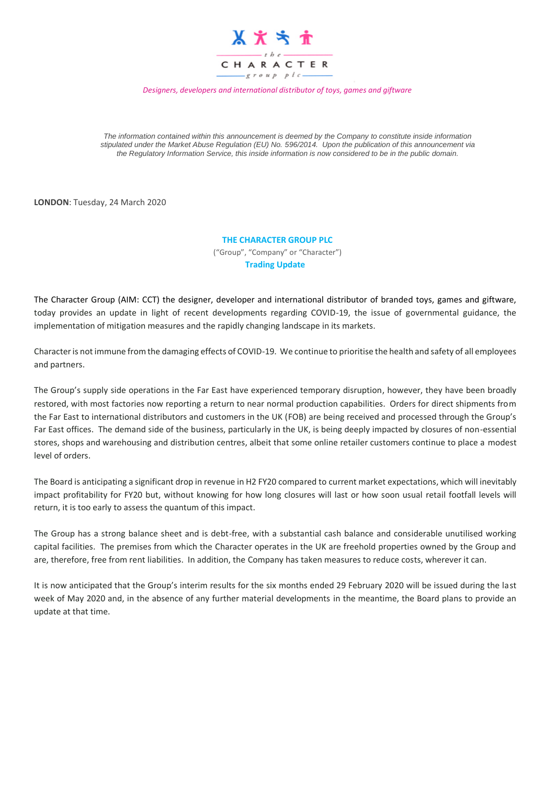

*Designers, developers and international distributor of toys, games and giftware*

*The information contained within this announcement is deemed by the Company to constitute inside information stipulated under the Market Abuse Regulation (EU) No. 596/2014. Upon the publication of this announcement via the Regulatory Information Service, this inside information is now considered to be in the public domain.*

**LONDON**: Tuesday, 24 March 2020

## **THE CHARACTER GROUP PLC**

("Group", "Company" or "Character") **Trading Update** 

The Character Group (AIM: CCT) the designer, developer and international distributor of branded toys, games and giftware, today provides an update in light of recent developments regarding COVID-19, the issue of governmental guidance, the implementation of mitigation measures and the rapidly changing landscape in its markets.

Character is not immune from the damaging effects of COVID-19. We continue to prioritise the health and safety of all employees and partners.

The Group's supply side operations in the Far East have experienced temporary disruption, however, they have been broadly restored, with most factories now reporting a return to near normal production capabilities. Orders for direct shipments from the Far East to international distributors and customers in the UK (FOB) are being received and processed through the Group's Far East offices. The demand side of the business, particularly in the UK, is being deeply impacted by closures of non-essential stores, shops and warehousing and distribution centres, albeit that some online retailer customers continue to place a modest level of orders.

The Board is anticipating a significant drop in revenue in H2 FY20 compared to current market expectations, which will inevitably impact profitability for FY20 but, without knowing for how long closures will last or how soon usual retail footfall levels will return, it is too early to assess the quantum of this impact.

The Group has a strong balance sheet and is debt-free, with a substantial cash balance and considerable unutilised working capital facilities. The premises from which the Character operates in the UK are freehold properties owned by the Group and are, therefore, free from rent liabilities. In addition, the Company has taken measures to reduce costs, wherever it can.

It is now anticipated that the Group's interim results for the six months ended 29 February 2020 will be issued during the last week of May 2020 and, in the absence of any further material developments in the meantime, the Board plans to provide an update at that time.